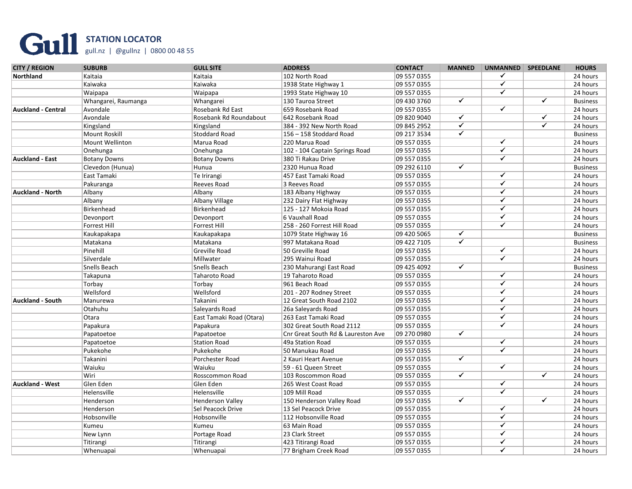## **STATION LOCATOR** gull.nz | @gullnz | 0800 00 48 55

| <b>Northland</b><br>Kaitaia<br>Kaitaia<br>102 North Road<br>09 557 0355<br>✔<br>$\overline{\checkmark}$<br>Kaiwaka<br>Kaiwaka<br>09 557 0355<br>1938 State Highway 1<br>$\checkmark$<br>Waipapa<br>Waipapa<br>09 557 0355<br>1993 State Highway 10<br>$\overline{\checkmark}$<br>$\overline{\checkmark}$<br>09 430 3760<br>Whangarei, Raumanga<br>Whangarei<br>130 Tauroa Street<br>$\checkmark$<br><b>Auckland - Central</b><br>09 557 0355<br>Avondale<br>Rosebank Rd East<br>659 Rosebank Road<br>$\overline{\checkmark}$<br>$\overline{\checkmark}$<br>Avondale<br>Rosebank Rd Roundabout<br>642 Rosebank Road<br>09 820 9040<br>$\overline{\checkmark}$<br>$\overline{\checkmark}$<br>Kingsland<br>09 845 2952<br>Kingsland<br>384 - 392 New North Road<br>$\overline{\checkmark}$<br>Mount Roskill<br>Stoddard Road<br>156 - 158 Stoddard Road<br>09 217 3534<br>$\overline{\checkmark}$<br>Mount Wellinton<br>Marua Road<br>220 Marua Road<br>09 557 0355<br>$\overline{\checkmark}$<br>102 - 104 Captain Springs Road<br>09 557 0355<br>Onehunga<br>Onehunga<br>✓<br>09 557 0355<br><b>Auckland - East</b><br><b>Botany Downs</b><br><b>Botany Downs</b><br>380 Ti Rakau Drive<br>$\overline{\checkmark}$<br>Clevedon (Hunua)<br>Hunua<br>2320 Hunua Road<br>09 292 6110<br>$\checkmark$<br>Te Irirangi<br>09 557 0355<br>East Tamaki<br>457 East Tamaki Road<br>✔<br>3 Reeves Road<br>09 557 0355<br>Pakuranga<br>Reeves Road<br>$\checkmark$<br><b>Auckland - North</b><br>Albany<br>09 557 0355<br>Albany<br>183 Albany Highway<br>$\overline{\checkmark}$<br>09 557 0355<br>Albany<br>Albany Village<br>232 Dairy Flat Highway<br>✓<br>Birkenhead<br>09 557 0355<br>Birkenhead<br>125 - 127 Mokoia Road<br>$\checkmark$<br>6 Vauxhall Road<br>09 557 0355<br>Devonport<br>Devonport<br>$\checkmark$<br>Forrest Hill<br>Forrest Hill<br>258 - 260 Forrest Hill Road<br>09 557 0355<br>$\overline{\checkmark}$<br>Kaukapakapa<br>Kaukapakapa<br>1079 State Highway 16<br>09 420 5065<br>$\overline{\checkmark}$<br>Matakana<br>Matakana<br>997 Matakana Road<br>09 422 7105<br>$\overline{\checkmark}$<br>Pinehill<br><b>Greville Road</b><br>09 557 0355<br>50 Greville Road<br>$\overline{\checkmark}$<br>Silverdale<br>Millwater<br>295 Wainui Road<br>09 557 0355<br>$\overline{\checkmark}$<br>Snells Beach<br>Snells Beach<br>09 425 4092<br>230 Mahurangi East Road<br>$\checkmark$<br>Takapuna<br>Taharoto Road<br>09 557 0355<br>19 Taharoto Road<br>$\overline{\checkmark}$<br>Torbay<br>Torbay<br>961 Beach Road<br>09 557 0355<br>$\checkmark$<br>Wellsford<br>Wellsford<br>09 557 0355<br>201 - 207 Rodney Street<br>$\overline{\checkmark}$<br>Takanini<br>12 Great South Road 2102<br>09 557 0355<br><b>Auckland - South</b><br>Manurewa<br>$\checkmark$<br>Otahuhu<br>Saleyards Road<br>26a Saleyards Road<br>09 557 0355<br>$\checkmark$<br>09 557 0355<br>Otara<br>East Tamaki Road (Otara)<br>263 East Tamaki Road<br>$\overline{\checkmark}$<br>09 557 0355<br>Papakura<br>Papakura<br>302 Great South Road 2112<br>$\overline{\checkmark}$<br>09 270 0980<br>Papatoetoe<br>Cnr Great South Rd & Laureston Ave<br>Papatoetoe<br>$\checkmark$<br>09 557 0355<br>Papatoetoe<br><b>Station Road</b><br>49a Station Road<br>$\overline{\checkmark}$<br>Pukekohe<br>Pukekohe<br>09 557 0355<br>50 Manukau Road<br>$\blacktriangledown$<br>Takanini<br>Porchester Road<br>09 557 0355<br>2 Kauri Heart Avenue<br>$\checkmark$<br>Waiuku<br>Waiuku<br>09 557 0355<br>59 - 61 Queen Street<br>$\overline{\checkmark}$<br>$\overline{\checkmark}$<br>Wiri<br>Rosscommon Road<br>09 557 0355<br>103 Roscommon Road<br>$\checkmark$<br>Glen Eden<br>09 557 0355<br><b>Auckland - West</b><br>Glen Eden<br>265 West Coast Road<br>$\checkmark$<br>Helensville<br>109 Mill Road<br>09 557 0355<br>Helensville<br>$\overline{\checkmark}$<br>$\overline{\checkmark}$<br>Henderson<br><b>Henderson Valley</b><br>09 557 0355<br>150 Henderson Valley Road<br>$\checkmark$<br>Sel Peacock Drive<br>09 557 0355<br>Henderson<br>13 Sel Peacock Drive<br>$\overline{\checkmark}$<br>Hobsonville<br>09 557 0355<br>Hobsonville<br>112 Hobsonville Road<br>$\checkmark$<br>09 557 0355<br>Kumeu<br>Kumeu<br>63 Main Road | <b>CITY / REGION</b> | <b>SUBURB</b> | <b>GULL SITE</b> | <b>ADDRESS</b>  | <b>CONTACT</b> | <b>MANNED</b> | UNMANNED   SPEEDLANE | <b>HOURS</b>    |
|------------------------------------------------------------------------------------------------------------------------------------------------------------------------------------------------------------------------------------------------------------------------------------------------------------------------------------------------------------------------------------------------------------------------------------------------------------------------------------------------------------------------------------------------------------------------------------------------------------------------------------------------------------------------------------------------------------------------------------------------------------------------------------------------------------------------------------------------------------------------------------------------------------------------------------------------------------------------------------------------------------------------------------------------------------------------------------------------------------------------------------------------------------------------------------------------------------------------------------------------------------------------------------------------------------------------------------------------------------------------------------------------------------------------------------------------------------------------------------------------------------------------------------------------------------------------------------------------------------------------------------------------------------------------------------------------------------------------------------------------------------------------------------------------------------------------------------------------------------------------------------------------------------------------------------------------------------------------------------------------------------------------------------------------------------------------------------------------------------------------------------------------------------------------------------------------------------------------------------------------------------------------------------------------------------------------------------------------------------------------------------------------------------------------------------------------------------------------------------------------------------------------------------------------------------------------------------------------------------------------------------------------------------------------------------------------------------------------------------------------------------------------------------------------------------------------------------------------------------------------------------------------------------------------------------------------------------------------------------------------------------------------------------------------------------------------------------------------------------------------------------------------------------------------------------------------------------------------------------------------------------------------------------------------------------------------------------------------------------------------------------------------------------------------------------------------------------------------------------------------------------------------------------------------------------------------------------------------------------------------------------------------------------------------------------------------------------------------------------------------------------------------------------------------------------------------------------------------------------------------------------------------------------------------------------------------------------------------------------------------------------------------------------------------------------------------------------------------------------------------------------------------------------------------------------------------------------------------------------|----------------------|---------------|------------------|-----------------|----------------|---------------|----------------------|-----------------|
|                                                                                                                                                                                                                                                                                                                                                                                                                                                                                                                                                                                                                                                                                                                                                                                                                                                                                                                                                                                                                                                                                                                                                                                                                                                                                                                                                                                                                                                                                                                                                                                                                                                                                                                                                                                                                                                                                                                                                                                                                                                                                                                                                                                                                                                                                                                                                                                                                                                                                                                                                                                                                                                                                                                                                                                                                                                                                                                                                                                                                                                                                                                                                                                                                                                                                                                                                                                                                                                                                                                                                                                                                                                                                                                                                                                                                                                                                                                                                                                                                                                                                                                                                                                                                                    |                      |               |                  |                 |                |               |                      | 24 hours        |
|                                                                                                                                                                                                                                                                                                                                                                                                                                                                                                                                                                                                                                                                                                                                                                                                                                                                                                                                                                                                                                                                                                                                                                                                                                                                                                                                                                                                                                                                                                                                                                                                                                                                                                                                                                                                                                                                                                                                                                                                                                                                                                                                                                                                                                                                                                                                                                                                                                                                                                                                                                                                                                                                                                                                                                                                                                                                                                                                                                                                                                                                                                                                                                                                                                                                                                                                                                                                                                                                                                                                                                                                                                                                                                                                                                                                                                                                                                                                                                                                                                                                                                                                                                                                                                    |                      |               |                  |                 |                |               |                      | 24 hours        |
|                                                                                                                                                                                                                                                                                                                                                                                                                                                                                                                                                                                                                                                                                                                                                                                                                                                                                                                                                                                                                                                                                                                                                                                                                                                                                                                                                                                                                                                                                                                                                                                                                                                                                                                                                                                                                                                                                                                                                                                                                                                                                                                                                                                                                                                                                                                                                                                                                                                                                                                                                                                                                                                                                                                                                                                                                                                                                                                                                                                                                                                                                                                                                                                                                                                                                                                                                                                                                                                                                                                                                                                                                                                                                                                                                                                                                                                                                                                                                                                                                                                                                                                                                                                                                                    |                      |               |                  |                 |                |               |                      | 24 hours        |
|                                                                                                                                                                                                                                                                                                                                                                                                                                                                                                                                                                                                                                                                                                                                                                                                                                                                                                                                                                                                                                                                                                                                                                                                                                                                                                                                                                                                                                                                                                                                                                                                                                                                                                                                                                                                                                                                                                                                                                                                                                                                                                                                                                                                                                                                                                                                                                                                                                                                                                                                                                                                                                                                                                                                                                                                                                                                                                                                                                                                                                                                                                                                                                                                                                                                                                                                                                                                                                                                                                                                                                                                                                                                                                                                                                                                                                                                                                                                                                                                                                                                                                                                                                                                                                    |                      |               |                  |                 |                |               |                      | <b>Business</b> |
|                                                                                                                                                                                                                                                                                                                                                                                                                                                                                                                                                                                                                                                                                                                                                                                                                                                                                                                                                                                                                                                                                                                                                                                                                                                                                                                                                                                                                                                                                                                                                                                                                                                                                                                                                                                                                                                                                                                                                                                                                                                                                                                                                                                                                                                                                                                                                                                                                                                                                                                                                                                                                                                                                                                                                                                                                                                                                                                                                                                                                                                                                                                                                                                                                                                                                                                                                                                                                                                                                                                                                                                                                                                                                                                                                                                                                                                                                                                                                                                                                                                                                                                                                                                                                                    |                      |               |                  |                 |                |               |                      | 24 hours        |
|                                                                                                                                                                                                                                                                                                                                                                                                                                                                                                                                                                                                                                                                                                                                                                                                                                                                                                                                                                                                                                                                                                                                                                                                                                                                                                                                                                                                                                                                                                                                                                                                                                                                                                                                                                                                                                                                                                                                                                                                                                                                                                                                                                                                                                                                                                                                                                                                                                                                                                                                                                                                                                                                                                                                                                                                                                                                                                                                                                                                                                                                                                                                                                                                                                                                                                                                                                                                                                                                                                                                                                                                                                                                                                                                                                                                                                                                                                                                                                                                                                                                                                                                                                                                                                    |                      |               |                  |                 |                |               |                      | 24 hours        |
|                                                                                                                                                                                                                                                                                                                                                                                                                                                                                                                                                                                                                                                                                                                                                                                                                                                                                                                                                                                                                                                                                                                                                                                                                                                                                                                                                                                                                                                                                                                                                                                                                                                                                                                                                                                                                                                                                                                                                                                                                                                                                                                                                                                                                                                                                                                                                                                                                                                                                                                                                                                                                                                                                                                                                                                                                                                                                                                                                                                                                                                                                                                                                                                                                                                                                                                                                                                                                                                                                                                                                                                                                                                                                                                                                                                                                                                                                                                                                                                                                                                                                                                                                                                                                                    |                      |               |                  |                 |                |               |                      | 24 hours        |
|                                                                                                                                                                                                                                                                                                                                                                                                                                                                                                                                                                                                                                                                                                                                                                                                                                                                                                                                                                                                                                                                                                                                                                                                                                                                                                                                                                                                                                                                                                                                                                                                                                                                                                                                                                                                                                                                                                                                                                                                                                                                                                                                                                                                                                                                                                                                                                                                                                                                                                                                                                                                                                                                                                                                                                                                                                                                                                                                                                                                                                                                                                                                                                                                                                                                                                                                                                                                                                                                                                                                                                                                                                                                                                                                                                                                                                                                                                                                                                                                                                                                                                                                                                                                                                    |                      |               |                  |                 |                |               |                      | <b>Business</b> |
|                                                                                                                                                                                                                                                                                                                                                                                                                                                                                                                                                                                                                                                                                                                                                                                                                                                                                                                                                                                                                                                                                                                                                                                                                                                                                                                                                                                                                                                                                                                                                                                                                                                                                                                                                                                                                                                                                                                                                                                                                                                                                                                                                                                                                                                                                                                                                                                                                                                                                                                                                                                                                                                                                                                                                                                                                                                                                                                                                                                                                                                                                                                                                                                                                                                                                                                                                                                                                                                                                                                                                                                                                                                                                                                                                                                                                                                                                                                                                                                                                                                                                                                                                                                                                                    |                      |               |                  |                 |                |               |                      | 24 hours        |
|                                                                                                                                                                                                                                                                                                                                                                                                                                                                                                                                                                                                                                                                                                                                                                                                                                                                                                                                                                                                                                                                                                                                                                                                                                                                                                                                                                                                                                                                                                                                                                                                                                                                                                                                                                                                                                                                                                                                                                                                                                                                                                                                                                                                                                                                                                                                                                                                                                                                                                                                                                                                                                                                                                                                                                                                                                                                                                                                                                                                                                                                                                                                                                                                                                                                                                                                                                                                                                                                                                                                                                                                                                                                                                                                                                                                                                                                                                                                                                                                                                                                                                                                                                                                                                    |                      |               |                  |                 |                |               |                      | 24 hours        |
|                                                                                                                                                                                                                                                                                                                                                                                                                                                                                                                                                                                                                                                                                                                                                                                                                                                                                                                                                                                                                                                                                                                                                                                                                                                                                                                                                                                                                                                                                                                                                                                                                                                                                                                                                                                                                                                                                                                                                                                                                                                                                                                                                                                                                                                                                                                                                                                                                                                                                                                                                                                                                                                                                                                                                                                                                                                                                                                                                                                                                                                                                                                                                                                                                                                                                                                                                                                                                                                                                                                                                                                                                                                                                                                                                                                                                                                                                                                                                                                                                                                                                                                                                                                                                                    |                      |               |                  |                 |                |               |                      | 24 hours        |
|                                                                                                                                                                                                                                                                                                                                                                                                                                                                                                                                                                                                                                                                                                                                                                                                                                                                                                                                                                                                                                                                                                                                                                                                                                                                                                                                                                                                                                                                                                                                                                                                                                                                                                                                                                                                                                                                                                                                                                                                                                                                                                                                                                                                                                                                                                                                                                                                                                                                                                                                                                                                                                                                                                                                                                                                                                                                                                                                                                                                                                                                                                                                                                                                                                                                                                                                                                                                                                                                                                                                                                                                                                                                                                                                                                                                                                                                                                                                                                                                                                                                                                                                                                                                                                    |                      |               |                  |                 |                |               |                      | <b>Business</b> |
|                                                                                                                                                                                                                                                                                                                                                                                                                                                                                                                                                                                                                                                                                                                                                                                                                                                                                                                                                                                                                                                                                                                                                                                                                                                                                                                                                                                                                                                                                                                                                                                                                                                                                                                                                                                                                                                                                                                                                                                                                                                                                                                                                                                                                                                                                                                                                                                                                                                                                                                                                                                                                                                                                                                                                                                                                                                                                                                                                                                                                                                                                                                                                                                                                                                                                                                                                                                                                                                                                                                                                                                                                                                                                                                                                                                                                                                                                                                                                                                                                                                                                                                                                                                                                                    |                      |               |                  |                 |                |               |                      | 24 hours        |
|                                                                                                                                                                                                                                                                                                                                                                                                                                                                                                                                                                                                                                                                                                                                                                                                                                                                                                                                                                                                                                                                                                                                                                                                                                                                                                                                                                                                                                                                                                                                                                                                                                                                                                                                                                                                                                                                                                                                                                                                                                                                                                                                                                                                                                                                                                                                                                                                                                                                                                                                                                                                                                                                                                                                                                                                                                                                                                                                                                                                                                                                                                                                                                                                                                                                                                                                                                                                                                                                                                                                                                                                                                                                                                                                                                                                                                                                                                                                                                                                                                                                                                                                                                                                                                    |                      |               |                  |                 |                |               |                      | 24 hours        |
|                                                                                                                                                                                                                                                                                                                                                                                                                                                                                                                                                                                                                                                                                                                                                                                                                                                                                                                                                                                                                                                                                                                                                                                                                                                                                                                                                                                                                                                                                                                                                                                                                                                                                                                                                                                                                                                                                                                                                                                                                                                                                                                                                                                                                                                                                                                                                                                                                                                                                                                                                                                                                                                                                                                                                                                                                                                                                                                                                                                                                                                                                                                                                                                                                                                                                                                                                                                                                                                                                                                                                                                                                                                                                                                                                                                                                                                                                                                                                                                                                                                                                                                                                                                                                                    |                      |               |                  |                 |                |               |                      | 24 hours        |
|                                                                                                                                                                                                                                                                                                                                                                                                                                                                                                                                                                                                                                                                                                                                                                                                                                                                                                                                                                                                                                                                                                                                                                                                                                                                                                                                                                                                                                                                                                                                                                                                                                                                                                                                                                                                                                                                                                                                                                                                                                                                                                                                                                                                                                                                                                                                                                                                                                                                                                                                                                                                                                                                                                                                                                                                                                                                                                                                                                                                                                                                                                                                                                                                                                                                                                                                                                                                                                                                                                                                                                                                                                                                                                                                                                                                                                                                                                                                                                                                                                                                                                                                                                                                                                    |                      |               |                  |                 |                |               |                      | 24 hours        |
|                                                                                                                                                                                                                                                                                                                                                                                                                                                                                                                                                                                                                                                                                                                                                                                                                                                                                                                                                                                                                                                                                                                                                                                                                                                                                                                                                                                                                                                                                                                                                                                                                                                                                                                                                                                                                                                                                                                                                                                                                                                                                                                                                                                                                                                                                                                                                                                                                                                                                                                                                                                                                                                                                                                                                                                                                                                                                                                                                                                                                                                                                                                                                                                                                                                                                                                                                                                                                                                                                                                                                                                                                                                                                                                                                                                                                                                                                                                                                                                                                                                                                                                                                                                                                                    |                      |               |                  |                 |                |               |                      | 24 hours        |
|                                                                                                                                                                                                                                                                                                                                                                                                                                                                                                                                                                                                                                                                                                                                                                                                                                                                                                                                                                                                                                                                                                                                                                                                                                                                                                                                                                                                                                                                                                                                                                                                                                                                                                                                                                                                                                                                                                                                                                                                                                                                                                                                                                                                                                                                                                                                                                                                                                                                                                                                                                                                                                                                                                                                                                                                                                                                                                                                                                                                                                                                                                                                                                                                                                                                                                                                                                                                                                                                                                                                                                                                                                                                                                                                                                                                                                                                                                                                                                                                                                                                                                                                                                                                                                    |                      |               |                  |                 |                |               |                      | 24 hours        |
|                                                                                                                                                                                                                                                                                                                                                                                                                                                                                                                                                                                                                                                                                                                                                                                                                                                                                                                                                                                                                                                                                                                                                                                                                                                                                                                                                                                                                                                                                                                                                                                                                                                                                                                                                                                                                                                                                                                                                                                                                                                                                                                                                                                                                                                                                                                                                                                                                                                                                                                                                                                                                                                                                                                                                                                                                                                                                                                                                                                                                                                                                                                                                                                                                                                                                                                                                                                                                                                                                                                                                                                                                                                                                                                                                                                                                                                                                                                                                                                                                                                                                                                                                                                                                                    |                      |               |                  |                 |                |               |                      | 24 hours        |
|                                                                                                                                                                                                                                                                                                                                                                                                                                                                                                                                                                                                                                                                                                                                                                                                                                                                                                                                                                                                                                                                                                                                                                                                                                                                                                                                                                                                                                                                                                                                                                                                                                                                                                                                                                                                                                                                                                                                                                                                                                                                                                                                                                                                                                                                                                                                                                                                                                                                                                                                                                                                                                                                                                                                                                                                                                                                                                                                                                                                                                                                                                                                                                                                                                                                                                                                                                                                                                                                                                                                                                                                                                                                                                                                                                                                                                                                                                                                                                                                                                                                                                                                                                                                                                    |                      |               |                  |                 |                |               |                      | <b>Business</b> |
|                                                                                                                                                                                                                                                                                                                                                                                                                                                                                                                                                                                                                                                                                                                                                                                                                                                                                                                                                                                                                                                                                                                                                                                                                                                                                                                                                                                                                                                                                                                                                                                                                                                                                                                                                                                                                                                                                                                                                                                                                                                                                                                                                                                                                                                                                                                                                                                                                                                                                                                                                                                                                                                                                                                                                                                                                                                                                                                                                                                                                                                                                                                                                                                                                                                                                                                                                                                                                                                                                                                                                                                                                                                                                                                                                                                                                                                                                                                                                                                                                                                                                                                                                                                                                                    |                      |               |                  |                 |                |               |                      | <b>Business</b> |
|                                                                                                                                                                                                                                                                                                                                                                                                                                                                                                                                                                                                                                                                                                                                                                                                                                                                                                                                                                                                                                                                                                                                                                                                                                                                                                                                                                                                                                                                                                                                                                                                                                                                                                                                                                                                                                                                                                                                                                                                                                                                                                                                                                                                                                                                                                                                                                                                                                                                                                                                                                                                                                                                                                                                                                                                                                                                                                                                                                                                                                                                                                                                                                                                                                                                                                                                                                                                                                                                                                                                                                                                                                                                                                                                                                                                                                                                                                                                                                                                                                                                                                                                                                                                                                    |                      |               |                  |                 |                |               |                      | 24 hours        |
|                                                                                                                                                                                                                                                                                                                                                                                                                                                                                                                                                                                                                                                                                                                                                                                                                                                                                                                                                                                                                                                                                                                                                                                                                                                                                                                                                                                                                                                                                                                                                                                                                                                                                                                                                                                                                                                                                                                                                                                                                                                                                                                                                                                                                                                                                                                                                                                                                                                                                                                                                                                                                                                                                                                                                                                                                                                                                                                                                                                                                                                                                                                                                                                                                                                                                                                                                                                                                                                                                                                                                                                                                                                                                                                                                                                                                                                                                                                                                                                                                                                                                                                                                                                                                                    |                      |               |                  |                 |                |               |                      | 24 hours        |
|                                                                                                                                                                                                                                                                                                                                                                                                                                                                                                                                                                                                                                                                                                                                                                                                                                                                                                                                                                                                                                                                                                                                                                                                                                                                                                                                                                                                                                                                                                                                                                                                                                                                                                                                                                                                                                                                                                                                                                                                                                                                                                                                                                                                                                                                                                                                                                                                                                                                                                                                                                                                                                                                                                                                                                                                                                                                                                                                                                                                                                                                                                                                                                                                                                                                                                                                                                                                                                                                                                                                                                                                                                                                                                                                                                                                                                                                                                                                                                                                                                                                                                                                                                                                                                    |                      |               |                  |                 |                |               |                      | <b>Business</b> |
|                                                                                                                                                                                                                                                                                                                                                                                                                                                                                                                                                                                                                                                                                                                                                                                                                                                                                                                                                                                                                                                                                                                                                                                                                                                                                                                                                                                                                                                                                                                                                                                                                                                                                                                                                                                                                                                                                                                                                                                                                                                                                                                                                                                                                                                                                                                                                                                                                                                                                                                                                                                                                                                                                                                                                                                                                                                                                                                                                                                                                                                                                                                                                                                                                                                                                                                                                                                                                                                                                                                                                                                                                                                                                                                                                                                                                                                                                                                                                                                                                                                                                                                                                                                                                                    |                      |               |                  |                 |                |               |                      | 24 hours        |
|                                                                                                                                                                                                                                                                                                                                                                                                                                                                                                                                                                                                                                                                                                                                                                                                                                                                                                                                                                                                                                                                                                                                                                                                                                                                                                                                                                                                                                                                                                                                                                                                                                                                                                                                                                                                                                                                                                                                                                                                                                                                                                                                                                                                                                                                                                                                                                                                                                                                                                                                                                                                                                                                                                                                                                                                                                                                                                                                                                                                                                                                                                                                                                                                                                                                                                                                                                                                                                                                                                                                                                                                                                                                                                                                                                                                                                                                                                                                                                                                                                                                                                                                                                                                                                    |                      |               |                  |                 |                |               |                      | 24 hours        |
|                                                                                                                                                                                                                                                                                                                                                                                                                                                                                                                                                                                                                                                                                                                                                                                                                                                                                                                                                                                                                                                                                                                                                                                                                                                                                                                                                                                                                                                                                                                                                                                                                                                                                                                                                                                                                                                                                                                                                                                                                                                                                                                                                                                                                                                                                                                                                                                                                                                                                                                                                                                                                                                                                                                                                                                                                                                                                                                                                                                                                                                                                                                                                                                                                                                                                                                                                                                                                                                                                                                                                                                                                                                                                                                                                                                                                                                                                                                                                                                                                                                                                                                                                                                                                                    |                      |               |                  |                 |                |               |                      | 24 hours        |
|                                                                                                                                                                                                                                                                                                                                                                                                                                                                                                                                                                                                                                                                                                                                                                                                                                                                                                                                                                                                                                                                                                                                                                                                                                                                                                                                                                                                                                                                                                                                                                                                                                                                                                                                                                                                                                                                                                                                                                                                                                                                                                                                                                                                                                                                                                                                                                                                                                                                                                                                                                                                                                                                                                                                                                                                                                                                                                                                                                                                                                                                                                                                                                                                                                                                                                                                                                                                                                                                                                                                                                                                                                                                                                                                                                                                                                                                                                                                                                                                                                                                                                                                                                                                                                    |                      |               |                  |                 |                |               |                      | 24 hours        |
|                                                                                                                                                                                                                                                                                                                                                                                                                                                                                                                                                                                                                                                                                                                                                                                                                                                                                                                                                                                                                                                                                                                                                                                                                                                                                                                                                                                                                                                                                                                                                                                                                                                                                                                                                                                                                                                                                                                                                                                                                                                                                                                                                                                                                                                                                                                                                                                                                                                                                                                                                                                                                                                                                                                                                                                                                                                                                                                                                                                                                                                                                                                                                                                                                                                                                                                                                                                                                                                                                                                                                                                                                                                                                                                                                                                                                                                                                                                                                                                                                                                                                                                                                                                                                                    |                      |               |                  |                 |                |               |                      | 24 hours        |
|                                                                                                                                                                                                                                                                                                                                                                                                                                                                                                                                                                                                                                                                                                                                                                                                                                                                                                                                                                                                                                                                                                                                                                                                                                                                                                                                                                                                                                                                                                                                                                                                                                                                                                                                                                                                                                                                                                                                                                                                                                                                                                                                                                                                                                                                                                                                                                                                                                                                                                                                                                                                                                                                                                                                                                                                                                                                                                                                                                                                                                                                                                                                                                                                                                                                                                                                                                                                                                                                                                                                                                                                                                                                                                                                                                                                                                                                                                                                                                                                                                                                                                                                                                                                                                    |                      |               |                  |                 |                |               |                      | 24 hours        |
|                                                                                                                                                                                                                                                                                                                                                                                                                                                                                                                                                                                                                                                                                                                                                                                                                                                                                                                                                                                                                                                                                                                                                                                                                                                                                                                                                                                                                                                                                                                                                                                                                                                                                                                                                                                                                                                                                                                                                                                                                                                                                                                                                                                                                                                                                                                                                                                                                                                                                                                                                                                                                                                                                                                                                                                                                                                                                                                                                                                                                                                                                                                                                                                                                                                                                                                                                                                                                                                                                                                                                                                                                                                                                                                                                                                                                                                                                                                                                                                                                                                                                                                                                                                                                                    |                      |               |                  |                 |                |               |                      | 24 hours        |
|                                                                                                                                                                                                                                                                                                                                                                                                                                                                                                                                                                                                                                                                                                                                                                                                                                                                                                                                                                                                                                                                                                                                                                                                                                                                                                                                                                                                                                                                                                                                                                                                                                                                                                                                                                                                                                                                                                                                                                                                                                                                                                                                                                                                                                                                                                                                                                                                                                                                                                                                                                                                                                                                                                                                                                                                                                                                                                                                                                                                                                                                                                                                                                                                                                                                                                                                                                                                                                                                                                                                                                                                                                                                                                                                                                                                                                                                                                                                                                                                                                                                                                                                                                                                                                    |                      |               |                  |                 |                |               |                      | 24 hours        |
|                                                                                                                                                                                                                                                                                                                                                                                                                                                                                                                                                                                                                                                                                                                                                                                                                                                                                                                                                                                                                                                                                                                                                                                                                                                                                                                                                                                                                                                                                                                                                                                                                                                                                                                                                                                                                                                                                                                                                                                                                                                                                                                                                                                                                                                                                                                                                                                                                                                                                                                                                                                                                                                                                                                                                                                                                                                                                                                                                                                                                                                                                                                                                                                                                                                                                                                                                                                                                                                                                                                                                                                                                                                                                                                                                                                                                                                                                                                                                                                                                                                                                                                                                                                                                                    |                      |               |                  |                 |                |               |                      | 24 hours        |
|                                                                                                                                                                                                                                                                                                                                                                                                                                                                                                                                                                                                                                                                                                                                                                                                                                                                                                                                                                                                                                                                                                                                                                                                                                                                                                                                                                                                                                                                                                                                                                                                                                                                                                                                                                                                                                                                                                                                                                                                                                                                                                                                                                                                                                                                                                                                                                                                                                                                                                                                                                                                                                                                                                                                                                                                                                                                                                                                                                                                                                                                                                                                                                                                                                                                                                                                                                                                                                                                                                                                                                                                                                                                                                                                                                                                                                                                                                                                                                                                                                                                                                                                                                                                                                    |                      |               |                  |                 |                |               |                      | 24 hours        |
|                                                                                                                                                                                                                                                                                                                                                                                                                                                                                                                                                                                                                                                                                                                                                                                                                                                                                                                                                                                                                                                                                                                                                                                                                                                                                                                                                                                                                                                                                                                                                                                                                                                                                                                                                                                                                                                                                                                                                                                                                                                                                                                                                                                                                                                                                                                                                                                                                                                                                                                                                                                                                                                                                                                                                                                                                                                                                                                                                                                                                                                                                                                                                                                                                                                                                                                                                                                                                                                                                                                                                                                                                                                                                                                                                                                                                                                                                                                                                                                                                                                                                                                                                                                                                                    |                      |               |                  |                 |                |               |                      | 24 hours        |
|                                                                                                                                                                                                                                                                                                                                                                                                                                                                                                                                                                                                                                                                                                                                                                                                                                                                                                                                                                                                                                                                                                                                                                                                                                                                                                                                                                                                                                                                                                                                                                                                                                                                                                                                                                                                                                                                                                                                                                                                                                                                                                                                                                                                                                                                                                                                                                                                                                                                                                                                                                                                                                                                                                                                                                                                                                                                                                                                                                                                                                                                                                                                                                                                                                                                                                                                                                                                                                                                                                                                                                                                                                                                                                                                                                                                                                                                                                                                                                                                                                                                                                                                                                                                                                    |                      |               |                  |                 |                |               |                      | 24 hours        |
|                                                                                                                                                                                                                                                                                                                                                                                                                                                                                                                                                                                                                                                                                                                                                                                                                                                                                                                                                                                                                                                                                                                                                                                                                                                                                                                                                                                                                                                                                                                                                                                                                                                                                                                                                                                                                                                                                                                                                                                                                                                                                                                                                                                                                                                                                                                                                                                                                                                                                                                                                                                                                                                                                                                                                                                                                                                                                                                                                                                                                                                                                                                                                                                                                                                                                                                                                                                                                                                                                                                                                                                                                                                                                                                                                                                                                                                                                                                                                                                                                                                                                                                                                                                                                                    |                      |               |                  |                 |                |               |                      | 24 hours        |
|                                                                                                                                                                                                                                                                                                                                                                                                                                                                                                                                                                                                                                                                                                                                                                                                                                                                                                                                                                                                                                                                                                                                                                                                                                                                                                                                                                                                                                                                                                                                                                                                                                                                                                                                                                                                                                                                                                                                                                                                                                                                                                                                                                                                                                                                                                                                                                                                                                                                                                                                                                                                                                                                                                                                                                                                                                                                                                                                                                                                                                                                                                                                                                                                                                                                                                                                                                                                                                                                                                                                                                                                                                                                                                                                                                                                                                                                                                                                                                                                                                                                                                                                                                                                                                    |                      |               |                  |                 |                |               |                      | 24 hours        |
|                                                                                                                                                                                                                                                                                                                                                                                                                                                                                                                                                                                                                                                                                                                                                                                                                                                                                                                                                                                                                                                                                                                                                                                                                                                                                                                                                                                                                                                                                                                                                                                                                                                                                                                                                                                                                                                                                                                                                                                                                                                                                                                                                                                                                                                                                                                                                                                                                                                                                                                                                                                                                                                                                                                                                                                                                                                                                                                                                                                                                                                                                                                                                                                                                                                                                                                                                                                                                                                                                                                                                                                                                                                                                                                                                                                                                                                                                                                                                                                                                                                                                                                                                                                                                                    |                      |               |                  |                 |                |               |                      | 24 hours        |
|                                                                                                                                                                                                                                                                                                                                                                                                                                                                                                                                                                                                                                                                                                                                                                                                                                                                                                                                                                                                                                                                                                                                                                                                                                                                                                                                                                                                                                                                                                                                                                                                                                                                                                                                                                                                                                                                                                                                                                                                                                                                                                                                                                                                                                                                                                                                                                                                                                                                                                                                                                                                                                                                                                                                                                                                                                                                                                                                                                                                                                                                                                                                                                                                                                                                                                                                                                                                                                                                                                                                                                                                                                                                                                                                                                                                                                                                                                                                                                                                                                                                                                                                                                                                                                    |                      |               |                  |                 |                |               |                      | 24 hours        |
|                                                                                                                                                                                                                                                                                                                                                                                                                                                                                                                                                                                                                                                                                                                                                                                                                                                                                                                                                                                                                                                                                                                                                                                                                                                                                                                                                                                                                                                                                                                                                                                                                                                                                                                                                                                                                                                                                                                                                                                                                                                                                                                                                                                                                                                                                                                                                                                                                                                                                                                                                                                                                                                                                                                                                                                                                                                                                                                                                                                                                                                                                                                                                                                                                                                                                                                                                                                                                                                                                                                                                                                                                                                                                                                                                                                                                                                                                                                                                                                                                                                                                                                                                                                                                                    |                      |               |                  |                 |                |               |                      | 24 hours        |
|                                                                                                                                                                                                                                                                                                                                                                                                                                                                                                                                                                                                                                                                                                                                                                                                                                                                                                                                                                                                                                                                                                                                                                                                                                                                                                                                                                                                                                                                                                                                                                                                                                                                                                                                                                                                                                                                                                                                                                                                                                                                                                                                                                                                                                                                                                                                                                                                                                                                                                                                                                                                                                                                                                                                                                                                                                                                                                                                                                                                                                                                                                                                                                                                                                                                                                                                                                                                                                                                                                                                                                                                                                                                                                                                                                                                                                                                                                                                                                                                                                                                                                                                                                                                                                    |                      |               |                  |                 |                |               |                      | 24 hours        |
|                                                                                                                                                                                                                                                                                                                                                                                                                                                                                                                                                                                                                                                                                                                                                                                                                                                                                                                                                                                                                                                                                                                                                                                                                                                                                                                                                                                                                                                                                                                                                                                                                                                                                                                                                                                                                                                                                                                                                                                                                                                                                                                                                                                                                                                                                                                                                                                                                                                                                                                                                                                                                                                                                                                                                                                                                                                                                                                                                                                                                                                                                                                                                                                                                                                                                                                                                                                                                                                                                                                                                                                                                                                                                                                                                                                                                                                                                                                                                                                                                                                                                                                                                                                                                                    |                      |               |                  |                 |                |               |                      | 24 hours        |
|                                                                                                                                                                                                                                                                                                                                                                                                                                                                                                                                                                                                                                                                                                                                                                                                                                                                                                                                                                                                                                                                                                                                                                                                                                                                                                                                                                                                                                                                                                                                                                                                                                                                                                                                                                                                                                                                                                                                                                                                                                                                                                                                                                                                                                                                                                                                                                                                                                                                                                                                                                                                                                                                                                                                                                                                                                                                                                                                                                                                                                                                                                                                                                                                                                                                                                                                                                                                                                                                                                                                                                                                                                                                                                                                                                                                                                                                                                                                                                                                                                                                                                                                                                                                                                    |                      | New Lynn      | Portage Road     | 23 Clark Street | 09 557 0355    |               | $\checkmark$         | 24 hours        |
| $\overline{\checkmark}$<br>Titirangi<br>Titirangi<br>423 Titirangi Road<br>09 557 0355                                                                                                                                                                                                                                                                                                                                                                                                                                                                                                                                                                                                                                                                                                                                                                                                                                                                                                                                                                                                                                                                                                                                                                                                                                                                                                                                                                                                                                                                                                                                                                                                                                                                                                                                                                                                                                                                                                                                                                                                                                                                                                                                                                                                                                                                                                                                                                                                                                                                                                                                                                                                                                                                                                                                                                                                                                                                                                                                                                                                                                                                                                                                                                                                                                                                                                                                                                                                                                                                                                                                                                                                                                                                                                                                                                                                                                                                                                                                                                                                                                                                                                                                             |                      |               |                  |                 |                |               |                      | 24 hours        |
| ✔<br>77 Brigham Creek Road<br>09 557 0355<br>Whenuapai<br>Whenuapai                                                                                                                                                                                                                                                                                                                                                                                                                                                                                                                                                                                                                                                                                                                                                                                                                                                                                                                                                                                                                                                                                                                                                                                                                                                                                                                                                                                                                                                                                                                                                                                                                                                                                                                                                                                                                                                                                                                                                                                                                                                                                                                                                                                                                                                                                                                                                                                                                                                                                                                                                                                                                                                                                                                                                                                                                                                                                                                                                                                                                                                                                                                                                                                                                                                                                                                                                                                                                                                                                                                                                                                                                                                                                                                                                                                                                                                                                                                                                                                                                                                                                                                                                                |                      |               |                  |                 |                |               |                      | 24 hours        |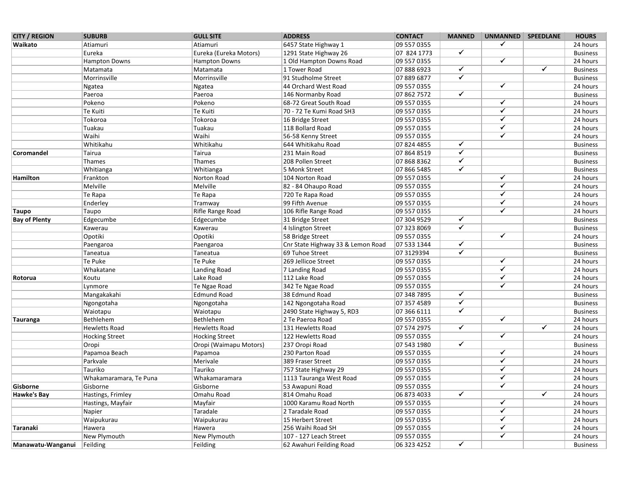| <b>CITY / REGION</b> | <b>SUBURB</b>          | <b>GULL SITE</b>       | <b>ADDRESS</b>                    | <b>CONTACT</b> | <b>MANNED</b>           | UNMANNED SPEEDLANE      |                         | <b>HOURS</b>    |
|----------------------|------------------------|------------------------|-----------------------------------|----------------|-------------------------|-------------------------|-------------------------|-----------------|
| Waikato              | Atiamuri               | Atiamuri               | 6457 State Highway 1              | 09 557 0355    |                         | ✓                       |                         | 24 hours        |
|                      | Eureka                 | Eureka (Eureka Motors) | 1291 State Highway 26             | 07 824 1773    | $\overline{\checkmark}$ |                         |                         | <b>Business</b> |
|                      | Hampton Downs          | <b>Hampton Downs</b>   | 1 Old Hampton Downs Road          | 09 557 0355    |                         | $\checkmark$            |                         | 24 hours        |
|                      | Matamata               | Matamata               | 1 Tower Road                      | 078886923      | $\overline{\checkmark}$ |                         | $\overline{\checkmark}$ | <b>Business</b> |
|                      | Morrinsville           | Morrinsville           | 91 Studholme Street               | 07 889 6877    | $\overline{\checkmark}$ |                         |                         | <b>Business</b> |
|                      | Ngatea                 | Ngatea                 | 44 Orchard West Road              | 09 557 0355    |                         | $\overline{\checkmark}$ |                         | 24 hours        |
|                      | Paeroa                 | Paeroa                 | 146 Normanby Road                 | 07 862 7572    | $\checkmark$            |                         |                         | <b>Business</b> |
|                      | Pokeno                 | Pokeno                 | 68-72 Great South Road            | 09 557 0355    |                         | $\checkmark$            |                         | 24 hours        |
|                      | Te Kuiti               | Te Kuiti               | 70 - 72 Te Kumi Road SH3          | 09 557 0355    |                         | $\checkmark$            |                         | 24 hours        |
|                      | Tokoroa                | Tokoroa                | 16 Bridge Street                  | 09 557 0355    |                         | $\checkmark$            |                         | 24 hours        |
|                      | Tuakau                 | Tuakau                 | 118 Bollard Road                  | 09 557 0355    |                         | $\checkmark$            |                         | 24 hours        |
|                      | Waihi                  | Waihi                  | 56-58 Kenny Street                | 09 557 0355    |                         | ✔                       |                         | 24 hours        |
|                      | Whitikahu              | Whitikahu              | 644 Whitikahu Road                | 07 824 4855    | $\overline{\checkmark}$ |                         |                         | <b>Business</b> |
| Coromandel           | Tairua                 | Tairua                 | 231 Main Road                     | 07 864 8519    | $\overline{\checkmark}$ |                         |                         | <b>Business</b> |
|                      | Thames                 | Thames                 | 208 Pollen Street                 | 07 868 8362    | $\overline{\checkmark}$ |                         |                         | <b>Business</b> |
|                      | Whitianga              | Whitianga              | 5 Monk Street                     | 07 866 5485    | $\overline{\checkmark}$ |                         |                         | <b>Business</b> |
| Hamilton             | Frankton               | Norton Road            | 104 Norton Road                   | 09 557 0355    |                         | $\overline{\checkmark}$ |                         | 24 hours        |
|                      | Melville               | Melville               | 82 - 84 Ohaupo Road               | 09 557 0355    |                         | $\overline{\checkmark}$ |                         | 24 hours        |
|                      | Te Rapa                | Te Rapa                | 720 Te Rapa Road                  | 09 557 0355    |                         | $\checkmark$            |                         | 24 hours        |
|                      | Enderley               | Tramway                | 99 Fifth Avenue                   | 09 557 0355    |                         | $\checkmark$            |                         | 24 hours        |
| <b>Taupo</b>         | Taupo                  | Rifle Range Road       | 106 Rifle Range Road              | 09 557 0355    |                         | ✔                       |                         | 24 hours        |
| <b>Bay of Plenty</b> | Edgecumbe              | Edgecumbe              | 31 Bridge Street                  | 07 304 9529    | $\checkmark$            |                         |                         | <b>Business</b> |
|                      | Kawerau                | Kawerau                | 4 Islington Street                | 07 323 8069    | $\overline{\checkmark}$ |                         |                         | <b>Business</b> |
|                      | Opotiki                | Opotiki                | 58 Bridge Street                  | 09 557 0355    |                         | $\checkmark$            |                         | 24 hours        |
|                      | Paengaroa              | Paengaroa              | Cnr State Highway 33 & Lemon Road | 07 533 1344    | ✓                       |                         |                         | <b>Business</b> |
|                      | Taneatua               | Taneatua               | 69 Tuhoe Street                   | 07 3129394     | $\overline{\checkmark}$ |                         |                         | <b>Business</b> |
|                      | Te Puke                | Te Puke                | 269 Jellicoe Street               | 09 557 0355    |                         | $\overline{\checkmark}$ |                         | 24 hours        |
|                      | Whakatane              | Landing Road           | 7 Landing Road                    | 09 557 0355    |                         | $\overline{\checkmark}$ |                         | 24 hours        |
| Rotorua              | Koutu                  | Lake Road              | 112 Lake Road                     | 09 557 0355    |                         | $\overline{\checkmark}$ |                         | 24 hours        |
|                      | Lynmore                | Te Ngae Road           | 342 Te Ngae Road                  | 09 557 0355    |                         | $\overline{\checkmark}$ |                         | 24 hours        |
|                      | Mangakakahi            | <b>Edmund Road</b>     | 38 Edmund Road                    | 07 348 7895    | $\overline{\checkmark}$ |                         |                         | <b>Business</b> |
|                      | Ngongotaha             | Ngongotaha             | 142 Ngongotaha Road               | 07 357 4589    | $\overline{\checkmark}$ |                         |                         | <b>Business</b> |
|                      | Waiotapu               | Waiotapu               | 2490 State Highway 5, RD3         | 07 366 6111    | $\overline{\checkmark}$ |                         |                         | <b>Business</b> |
| Tauranga             | Bethlehem              | Bethlehem              | 2 Te Paeroa Road                  | 09 557 0355    |                         | $\overline{\checkmark}$ |                         | 24 hours        |
|                      | <b>Hewletts Road</b>   | <b>Hewletts Road</b>   | 131 Hewletts Road                 | 07 574 2975    | $\overline{\checkmark}$ |                         | $\overline{\checkmark}$ | 24 hours        |
|                      | <b>Hocking Street</b>  | <b>Hocking Street</b>  | 122 Hewletts Road                 | 09 557 0355    |                         | $\overline{\checkmark}$ |                         | 24 hours        |
|                      | Oropi                  | Oropi (Waimapu Motors) | 237 Oropi Road                    | 07 543 1980    | ✓                       |                         |                         | <b>Business</b> |
|                      | Papamoa Beach          | Papamoa                | 230 Parton Road                   | 09 557 0355    |                         | ✔                       |                         | 24 hours        |
|                      | Parkvale               | Merivale               | 389 Fraser Street                 | 09 557 0355    |                         | $\checkmark$            |                         | 24 hours        |
|                      | Tauriko                | Tauriko                | 757 State Highway 29              | 09 557 0355    |                         | ✔                       |                         | 24 hours        |
|                      | Whakamaramara, Te Puna | Whakamaramara          | 1113 Tauranga West Road           | 09 557 0355    |                         | $\checkmark$            |                         | 24 hours        |
| Gisborne             | Gisborne               | Gisborne               | 53 Awapuni Road                   | 09 557 0355    |                         | ✔                       |                         | 24 hours        |
| Hawke's Bay          | Hastings, Frimley      | Omahu Road             | 814 Omahu Road                    | 06 873 4033    | $\overline{\checkmark}$ |                         | $\overline{\checkmark}$ | 24 hours        |
|                      | Hastings, Mayfair      | Mayfair                | 1000 Karamu Road North            | 09 557 0355    |                         | $\checkmark$            |                         | 24 hours        |
|                      | Napier                 | Taradale               | 2 Taradale Road                   | 09 557 0355    |                         | $\checkmark$            |                         | 24 hours        |
|                      | Waipukurau             | Waipukurau             | 15 Herbert Street                 | 09 557 0355    |                         | $\checkmark$            |                         | 24 hours        |
| Taranaki             | Hawera                 | Hawera                 | 256 Waihi Road SH                 | 09 557 0355    |                         | $\checkmark$            |                         | 24 hours        |
|                      | New Plymouth           | New Plymouth           | 107 - 127 Leach Street            | 09 557 0355    |                         | $\checkmark$            |                         | 24 hours        |
| Manawatu-Wanganui    | Feilding               | Feilding               | 62 Awahuri Feilding Road          | 06 323 4252    | $\overline{\checkmark}$ |                         |                         | <b>Business</b> |